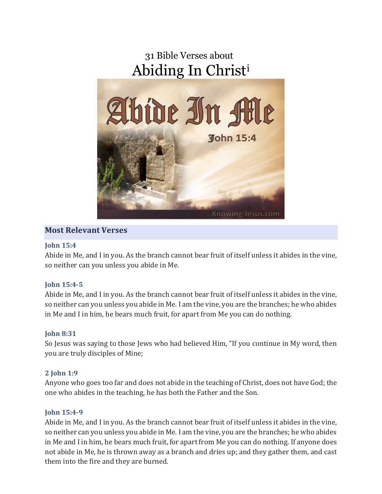

# **Most Relevant Verses**

#### **[John](https://bible.knowing-jesus.com/John/15/4) 15:4**

Abide in Me, and I in you. As the branch cannot bear fruit of itself unless it abides in the vine, so neither can you unless you abide in Me.

## **John [15:4-5](https://bible.knowing-jesus.com/John/15/4)**

Abide in Me, and I in you. As the branch cannot bear fruit of itself unless it abides in the vine, so neither can you unless you abide in Me. I am the vine, you are the branches; he who abides in Me and I in him, he bears much fruit, for apart from Me you can do nothing.

#### **[John](https://bible.knowing-jesus.com/John/8/31) 8:31**

So Jesus was saying to those Jews who had believed Him, "If you continue in My word, then you are truly disciples of Mine;

#### **2 [John](https://bible.knowing-jesus.com/2-John/1/9) 1:9**

Anyone who goes too far and does not abide in the teaching of Christ, does not have God; the one who abides in the teaching, he has both the Father and the Son.

#### **John [15:4-9](https://bible.knowing-jesus.com/John/15/4)**

Abide in Me, and I in you. As the branch cannot bear fruit of itself unless it abides in the vine, so neither can you unless you abide in Me. I am the vine, you are the branches; he who abides in Me and I in him, he bears much fruit, for apart from Me you can do nothing. If anyone does not abide in Me, he is thrown away as a branch and dries up; and they gather them, and cast them into the fire and they are burned.